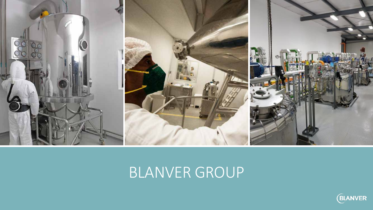

## BLANVER GROUP

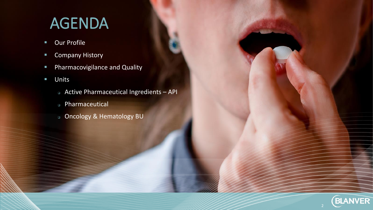# AGENDA

- **Our Profile**
- **Company History**
- **Pharmacovigilance and Quality**
- **Units** 
	- Active Pharmaceutical Ingredients API

**BLANVER** 

- Pharmaceutical
- Oncology & Hematology BU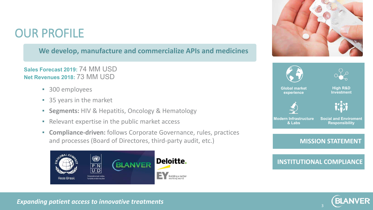### OUR PROFILE

### **We develop, manufacture and commercialize APIs and medicines**

**Net Revenues 2018:** 73 MM USD **Sales Forecast 2019:** 74 MM USD

- 300 employees
- 35 years in the market
- **Segments:** HIV & Hepatitis, Oncology & Hematology
- Relevant expertise in the public market access
- **Compliance-driven:** follows Corporate Governance, rules, practices and processes (Board of Directores, third-party audit, etc.)







**INSTITUTIONAL COMPLIANCE**



#### **Expanding patient access to innovative treatments**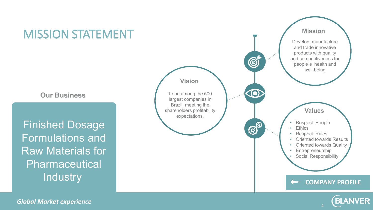

**Our Business** 

Finished Dosage Formulations and Raw Materials for Pharmaceutical **Industry** 



*Global Market experience*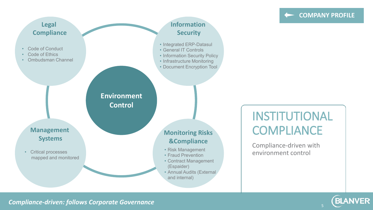#### **COMPANY PROFILE**

**BLANVER** 



INSTITUTIONAL **COMPLIANCE** 

Compliance-driven with environment control

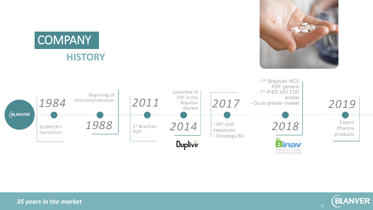



*35 years in the market*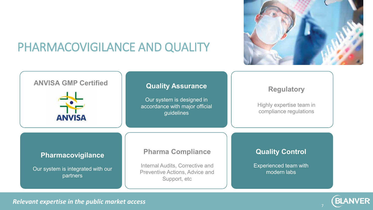

**BLANVER** 

### PHARMACOVIGILANCE AND QUALITY



*Relevant expertise in the public market access*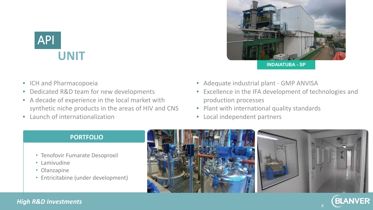

- ICH and Pharmacopoeia
- Dedicated R&D team for new developments
- A decade of experience in the local market with synthetic niche products in the areas of HIV and CNS
- **Launch of internationalization**



**INDAIATUBA - SP**

8

- Adequate industrial plant GMP ANVISA
- Excellence in the IFA development of technologies and production processes
- Plant with international quality standards
- Local independent partners

#### **PORTFOLIO**

- Tenofovir Fumarate Desoproxil
- Lamivudine
- Olanzapine
- Entricitabine (under development)



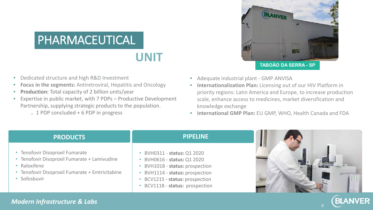## PHARMACEUTICAL

### **UNIT**

- Dedicated structure and high R&D Investment
- **Focus in the segments:** Antiretroviral, Hepatitis and Oncology
- **Production:** Total capacity of 2 billion units/year
- Expertise in public market, with 7 PDPs Productive Development Partnership, supplying strategic products to the population.
	- $\sqrt{1}$  PDP concluded + 6 PDP in progress



- Adequate industrial plant GMP ANVISA
- **Internationalization Plan:** Licensing out of our HIV Platform in priority regions: Latin America and Europe, to increase production scale, enhance access to medicines, market diversification and knowledge exchange
- **International GMP Plan:** EU GMP, WHO, Health Canada and FDA

#### **PRODUCTS** • Tenofovir Disoproxil Fumarate • Tenofovir Disoproxil Fumarate + Lamivudine • Raloxifene • Tenofovir Disoproxil Fumarate + Emtricitabine • Sofosbuvir **PIPELINE** • BVH0311 - **status:** Q1 2020 • BVH0616 - **status:** Q1 2020 • BVH1018 - **status:** prospection • BVH1114 - **status:** prospection • BCV1215 - **status:** prospection

• BCV1118 - **status:** prospection



9

**BLANVER** 

#### *Modern Infrastructure & Labs*